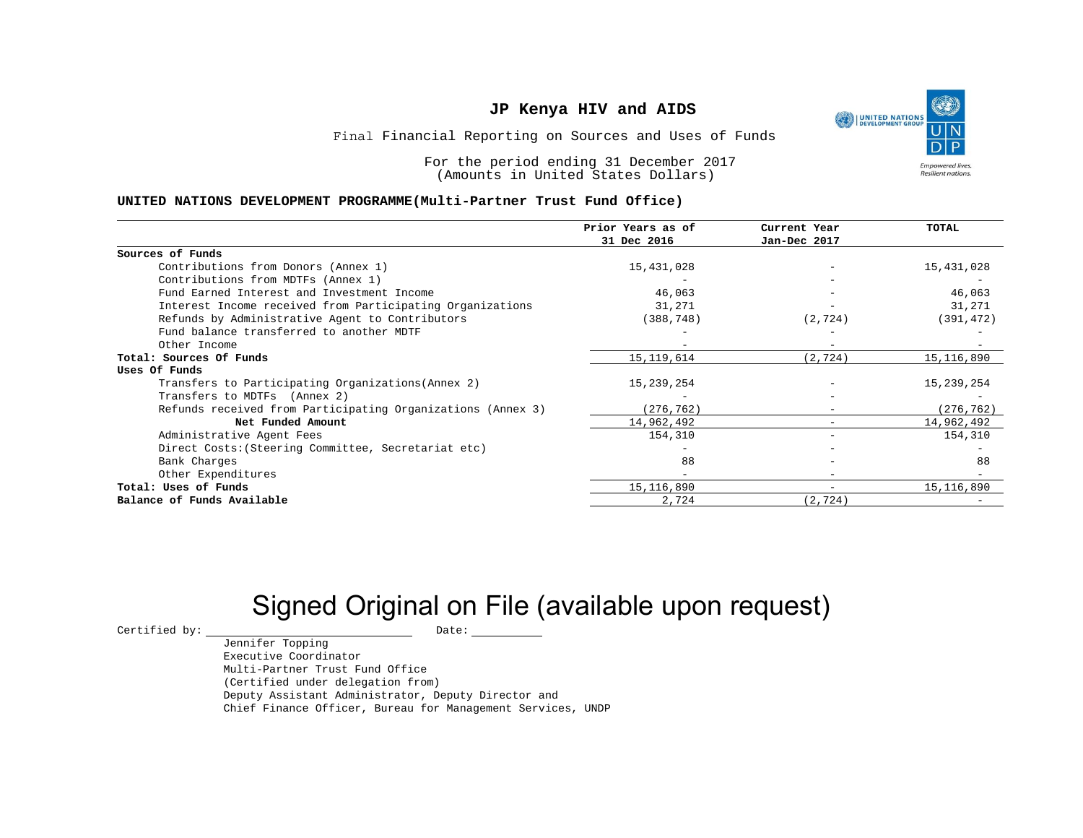

Final Financial Reporting on Sources and Uses of Funds

For the period ending 31 December 2017 (Amounts in United States Dollars)

#### **UNITED NATIONS DEVELOPMENT PROGRAMME(Multi-Partner Trust Fund Office)**

|                                                             | Prior Years as of | Current Year             | TOTAL        |
|-------------------------------------------------------------|-------------------|--------------------------|--------------|
|                                                             | 31 Dec 2016       | Jan-Dec 2017             |              |
| Sources of Funds                                            |                   |                          |              |
| Contributions from Donors (Annex 1)                         | 15,431,028        |                          | 15,431,028   |
| Contributions from MDTFs (Annex 1)                          |                   |                          |              |
| Fund Earned Interest and Investment Income                  | 46,063            |                          | 46,063       |
| Interest Income received from Participating Organizations   | 31,271            |                          | 31,271       |
| Refunds by Administrative Agent to Contributors             | (388, 748)        | (2, 724)                 | (391, 472)   |
| Fund balance transferred to another MDTF                    |                   |                          |              |
| Other Income                                                |                   |                          |              |
| Total: Sources Of Funds                                     | 15, 119, 614      | (2, 724)                 | 15, 116, 890 |
| Uses Of Funds                                               |                   |                          |              |
| Transfers to Participating Organizations (Annex 2)          | 15,239,254        |                          | 15,239,254   |
| Transfers to MDTFs (Annex 2)                                |                   |                          |              |
| Refunds received from Participating Organizations (Annex 3) | (276, 762)        |                          | (276, 762)   |
| Net Funded Amount                                           | 14,962,492        |                          | 14,962,492   |
| Administrative Agent Fees                                   | 154,310           |                          | 154,310      |
| Direct Costs: (Steering Committee, Secretariat etc)         |                   |                          |              |
| Bank Charges                                                | 88                |                          | 88           |
| Other Expenditures                                          |                   |                          |              |
| Total: Uses of Funds                                        | 15, 116, 890      | $\overline{\phantom{a}}$ | 15, 116, 890 |
| Balance of Funds Available                                  | 2,724             | (2, 724)                 |              |

# Signed Original on File (available upon request)

 $\begin{array}{cccc}\n\text{Certified by:}\quad\text{---}\quad\text{---}\quad\text{---}\quad\text{Date:}\quad\text{---}\quad\text{---}\quad\text{---}\quad\text{---}\quad\text{---}\quad\text{---}\quad\text{---}\quad\text{---}\quad\text{---}\quad\text{---}\quad\text{---}\quad\text{---}\quad\text{---}\quad\text{---}\quad\text{---}\quad\text{---}\quad\text{---}\quad\text{---}\quad\text{---}\quad\text{---}\quad\text{---}\quad\text{---}\quad\text{---}\quad\text{---}\quad\text{---}\quad\text{---}\quad\text{---}\quad\text{---}\quad\text{---}\quad\text{---$ 

Jennifer Topping Executive Coordinator Multi-Partner Trust Fund Office (Certified under delegation from) Deputy Assistant Administrator, Deputy Director and Chief Finance Officer, Bureau for Management Services, UNDP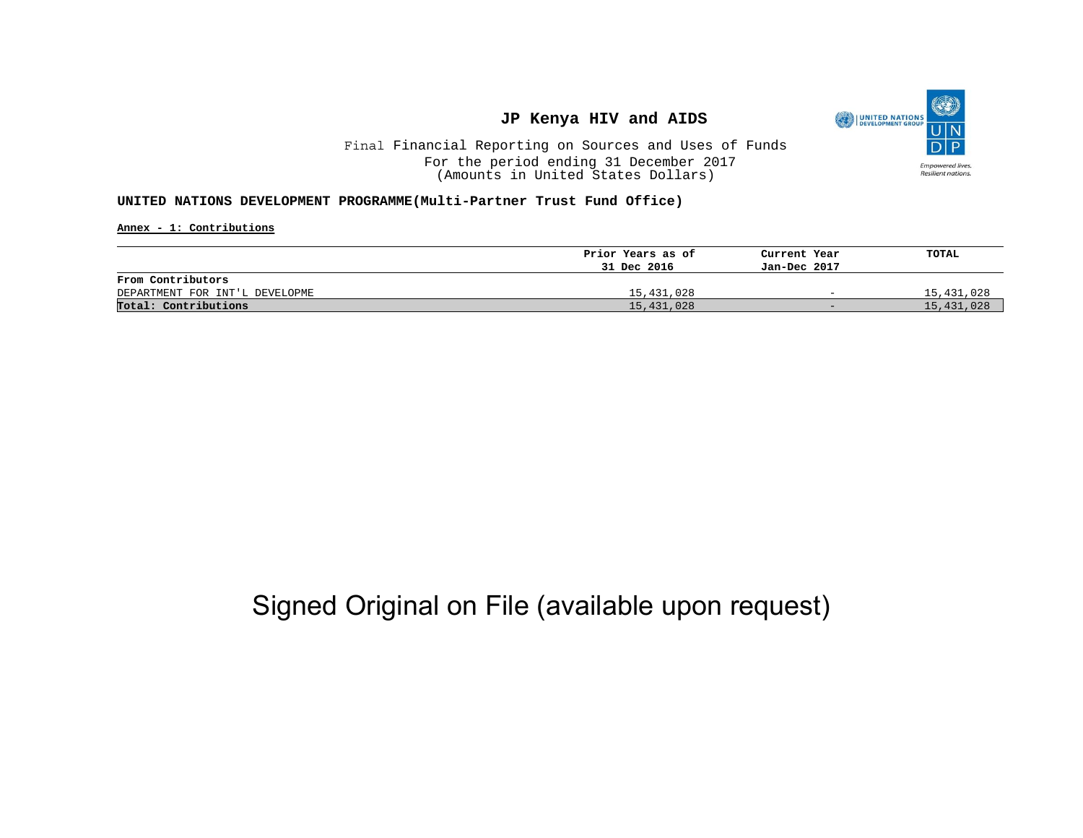

Final Financial Reporting on Sources and Uses of Funds For the period ending 31 December 2017 (Amounts in United States Dollars)

#### **UNITED NATIONS DEVELOPMENT PROGRAMME(Multi-Partner Trust Fund Office)**

**Annex - 1: Contributions**

|                                | Prior Years as of | Current Year             | TOTAL      |
|--------------------------------|-------------------|--------------------------|------------|
|                                | 31 Dec 2016       | Jan-Dec 2017             |            |
| From Contributors              |                   |                          |            |
| DEPARTMENT FOR INT'L DEVELOPME | 15,431,028        | $\overline{\phantom{0}}$ | 15,431,028 |
| Total: Contributions           | 15,431,028        | $-$                      | 15,431,028 |

## Signed Original on File (available upon request)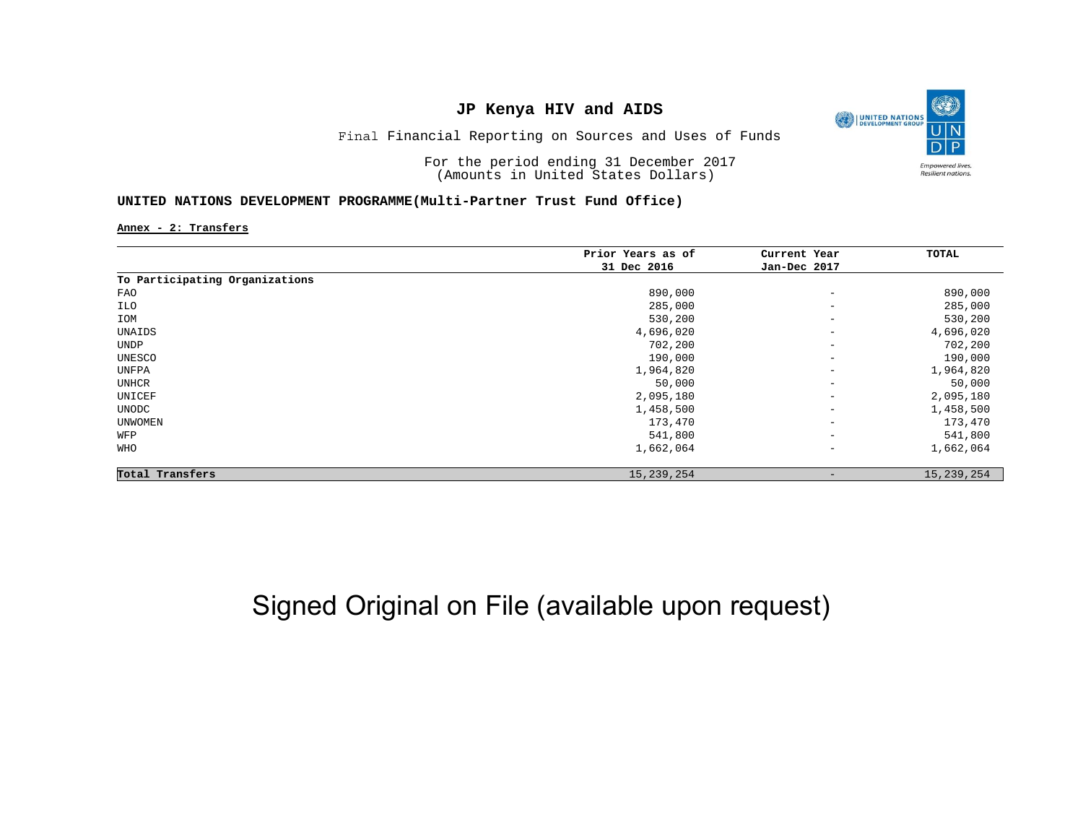

Final Financial Reporting on Sources and Uses of Funds

For the period ending 31 December 2017 (Amounts in United States Dollars)

#### **UNITED NATIONS DEVELOPMENT PROGRAMME(Multi-Partner Trust Fund Office)**

**Annex - 2: Transfers**

|                                | Prior Years as of | Current Year                 | TOTAL        |
|--------------------------------|-------------------|------------------------------|--------------|
|                                | 31 Dec 2016       | Jan-Dec 2017                 |              |
| To Participating Organizations |                   |                              |              |
| FAO                            | 890,000           | $\overline{\phantom{m}}$     | 890,000      |
| ILO                            | 285,000           | $\overline{\phantom{0}}$     | 285,000      |
| IOM                            | 530,200           | $\qquad \qquad -$            | 530,200      |
| UNAIDS                         | 4,696,020         | $\qquad \qquad -$            | 4,696,020    |
| <b>UNDP</b>                    | 702,200           | $\qquad \qquad -$            | 702,200      |
| UNESCO                         | 190,000           | $\overline{\phantom{0}}$     | 190,000      |
| UNFPA                          | 1,964,820         | $\qquad \qquad \blacksquare$ | 1,964,820    |
| UNHCR                          | 50,000            | $\overline{\phantom{0}}$     | 50,000       |
| UNICEF                         | 2,095,180         | $\qquad \qquad -$            | 2,095,180    |
| UNODC                          | 1,458,500         | $\qquad \qquad \blacksquare$ | 1,458,500    |
| <b>UNWOMEN</b>                 | 173,470           | $\qquad \qquad -$            | 173,470      |
| WFP                            | 541,800           | $\qquad \qquad -$            | 541,800      |
| WHO                            | 1,662,064         | $\qquad \qquad -$            | 1,662,064    |
| Total Transfers                | 15, 239, 254      | $\overline{\phantom{m}}$     | 15, 239, 254 |

## Signed Original on File (available upon request)